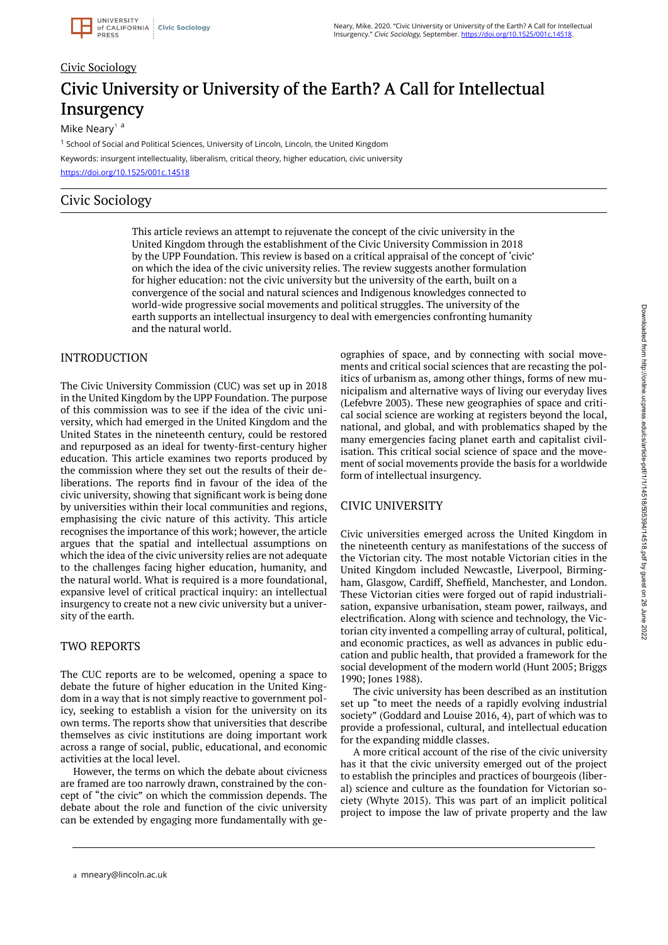# Civic Sociology Civic University or University of the Earth? A Call for Intellectual **Insurgency**

Mike Neary<sup>1</sup>  $a$ 

<sup>1</sup> School of Social and Political Sciences, University of Lincoln, Lincoln, the United Kingdom Keywords: insurgent intellectuality, liberalism, critical theory, higher education, civic university <https://doi.org/10.1525/001c.14518>

## Civic Sociology

This article reviews an attempt to rejuvenate the concept of the civic university in the United Kingdom through the establishment of the Civic University Commission in 2018 by the UPP Foundation. This review is based on a critical appraisal of the concept of 'civic' on which the idea of the civic university relies. The review suggests another formulation for higher education: not the civic university but the university of the earth, built on a convergence of the social and natural sciences and Indigenous knowledges connected to world-wide progressive social movements and political struggles. The university of the earth supports an intellectual insurgency to deal with emergencies confronting humanity and the natural world.

### INTRODUCTION

The Civic University Commission (CUC) was set up in 2018 in the United Kingdom by the UPP Foundation. The purpose of this commission was to see if the idea of the civic university, which had emerged in the United Kingdom and the United States in the nineteenth century, could be restored and repurposed as an ideal for twenty-first-century higher education. This article examines two reports produced by the commission where they set out the results of their deliberations. The reports find in favour of the idea of the civic university, showing that significant work is being done by universities within their local communities and regions, emphasising the civic nature of this activity. This article recognises the importance of this work; however, the article argues that the spatial and intellectual assumptions on which the idea of the civic university relies are not adequate to the challenges facing higher education, humanity, and the natural world. What is required is a more foundational, expansive level of critical practical inquiry: an intellectual insurgency to create not a new civic university but a university of the earth.

## TWO REPORTS

The CUC reports are to be welcomed, opening a space to debate the future of higher education in the United Kingdom in a way that is not simply reactive to government policy, seeking to establish a vision for the university on its own terms. The reports show that universities that describe themselves as civic institutions are doing important work across a range of social, public, educational, and economic activities at the local level.

However, the terms on which the debate about civicness are framed are too narrowly drawn, constrained by the concept of "the civic" on which the commission depends. The debate about the role and function of the civic university can be extended by engaging more fundamentally with geographies of space, and by connecting with social movements and critical social sciences that are recasting the politics of urbanism as, among other things, forms of new municipalism and alternative ways of living our everyday lives (Lefebvre 2003). These new geographies of space and critical social science are working at registers beyond the local, national, and global, and with problematics shaped by the many emergencies facing planet earth and capitalist civilisation. This critical social science of space and the movement of social movements provide the basis for a worldwide form of intellectual insurgency.

## CIVIC UNIVERSITY

Civic universities emerged across the United Kingdom in the nineteenth century as manifestations of the success of the Victorian city. The most notable Victorian cities in the United Kingdom included Newcastle, Liverpool, Birmingham, Glasgow, Cardiff, Sheffield, Manchester, and London. These Victorian cities were forged out of rapid industrialisation, expansive urbanisation, steam power, railways, and electrification. Along with science and technology, the Victorian city invented a compelling array of cultural, political, and economic practices, as well as advances in public education and public health, that provided a framework for the social development of the modern world (Hunt 2005; Briggs 1990; Jones 1988).

The civic university has been described as an institution set up "to meet the needs of a rapidly evolving industrial society" (Goddard and Louise 2016, 4), part of which was to provide a professional, cultural, and intellectual education for the expanding middle classes.

A more critical account of the rise of the civic university has it that the civic university emerged out of the project to establish the principles and practices of bourgeois (liberal) science and culture as the foundation for Victorian society (Whyte 2015). This was part of an implicit political project to impose the law of private property and the law

a mneary@lincoln.ac.uk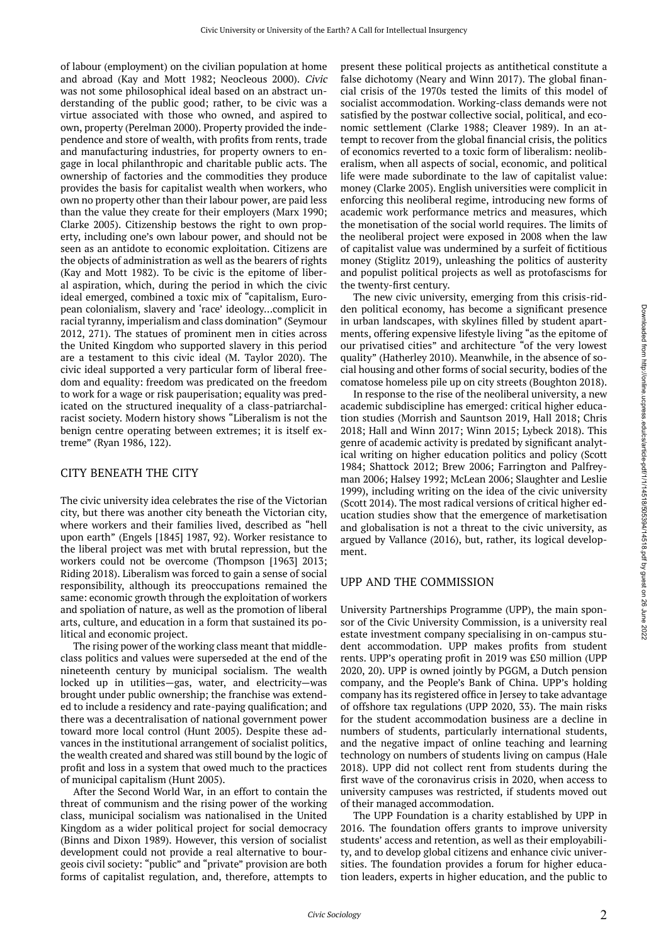of labour (employment) on the civilian population at home and abroad (Kay and Mott 1982; Neocleous 2000). Civic was not some philosophical ideal based on an abstract understanding of the public good; rather, to be civic was a virtue associated with those who owned, and aspired to own, property (Perelman 2000). Property provided the independence and store of wealth, with profits from rents, trade and manufacturing industries, for property owners to engage in local philanthropic and charitable public acts. The ownership of factories and the commodities they produce provides the basis for capitalist wealth when workers, who own no property other than their labour power, are paid less than the value they create for their employers (Marx 1990; Clarke 2005). Citizenship bestows the right to own property, including one's own labour power, and should not be seen as an antidote to economic exploitation. Citizens are the objects of administration as well as the bearers of rights (Kay and Mott 1982). To be civic is the epitome of liberal aspiration, which, during the period in which the civic ideal emerged, combined a toxic mix of "capitalism, European colonialism, slavery and 'race' ideology…complicit in racial tyranny, imperialism and class domination" (Seymour 2012, 271). The statues of prominent men in cities across the United Kingdom who supported slavery in this period are a testament to this civic ideal (M. Taylor 2020). The civic ideal supported a very particular form of liberal freedom and equality: freedom was predicated on the freedom to work for a wage or risk pauperisation; equality was predicated on the structured inequality of a class-patriarchalracist society. Modern history shows "Liberalism is not the benign centre operating between extremes; it is itself extreme" (Ryan 1986, 122).

#### CITY BENEATH THE CITY

The civic university idea celebrates the rise of the Victorian city, but there was another city beneath the Victorian city, where workers and their families lived, described as "hell upon earth" (Engels [1845] 1987, 92). Worker resistance to the liberal project was met with brutal repression, but the workers could not be overcome (Thompson [1963] 2013; Riding 2018). Liberalism was forced to gain a sense of social responsibility, although its preoccupations remained the same: economic growth through the exploitation of workers and spoliation of nature, as well as the promotion of liberal arts, culture, and education in a form that sustained its political and economic project.

The rising power of the working class meant that middleclass politics and values were superseded at the end of the nineteenth century by municipal socialism. The wealth locked up in utilities—gas, water, and electricity—was brought under public ownership; the franchise was extended to include a residency and rate-paying qualification; and there was a decentralisation of national government power toward more local control (Hunt 2005). Despite these advances in the institutional arrangement of socialist politics, the wealth created and shared was still bound by the logic of profit and loss in a system that owed much to the practices of municipal capitalism (Hunt 2005).

After the Second World War, in an effort to contain the threat of communism and the rising power of the working class, municipal socialism was nationalised in the United Kingdom as a wider political project for social democracy (Binns and Dixon 1989). However, this version of socialist development could not provide a real alternative to bourgeois civil society: "public" and "private" provision are both forms of capitalist regulation, and, therefore, attempts to

present these political projects as antithetical constitute a false dichotomy (Neary and Winn 2017). The global financial crisis of the 1970s tested the limits of this model of socialist accommodation. Working-class demands were not satisfied by the postwar collective social, political, and economic settlement (Clarke 1988; Cleaver 1989). In an attempt to recover from the global financial crisis, the politics of economics reverted to a toxic form of liberalism: neoliberalism, when all aspects of social, economic, and political life were made subordinate to the law of capitalist value: money (Clarke 2005). English universities were complicit in enforcing this neoliberal regime, introducing new forms of academic work performance metrics and measures, which the monetisation of the social world requires. The limits of the neoliberal project were exposed in 2008 when the law of capitalist value was undermined by a surfeit of fictitious money (Stiglitz 2019), unleashing the politics of austerity and populist political projects as well as protofascisms for the twenty-first century.

The new civic university, emerging from this crisis-ridden political economy, has become a significant presence in urban landscapes, with skylines filled by student apartments, offering expensive lifestyle living "as the epitome of our privatised cities" and architecture "of the very lowest quality" (Hatherley 2010). Meanwhile, in the absence of social housing and other forms of social security, bodies of the comatose homeless pile up on city streets (Boughton 2018).

In response to the rise of the neoliberal university, a new academic subdiscipline has emerged: critical higher education studies (Morrish and Sauntson 2019, Hall 2018; Chris 2018; Hall and Winn 2017; Winn 2015; Lybeck 2018). This genre of academic activity is predated by significant analytical writing on higher education politics and policy (Scott 1984; Shattock 2012; Brew 2006; Farrington and Palfreyman 2006; Halsey 1992; McLean 2006; Slaughter and Leslie 1999), including writing on the idea of the civic university (Scott 2014). The most radical versions of critical higher education studies show that the emergence of marketisation and globalisation is not a threat to the civic university, as argued by Vallance (2016), but, rather, its logical development.

#### UPP AND THE COMMISSION

University Partnerships Programme (UPP), the main sponsor of the Civic University Commission, is a university real estate investment company specialising in on-campus student accommodation. UPP makes profits from student rents. UPP's operating profit in 2019 was £50 million (UPP 2020, 20). UPP is owned jointly by PGGM, a Dutch pension company, and the People's Bank of China. UPP's holding company has its registered office in Jersey to take advantage of offshore tax regulations (UPP 2020, 33). The main risks for the student accommodation business are a decline in numbers of students, particularly international students, and the negative impact of online teaching and learning technology on numbers of students living on campus (Hale 2018). UPP did not collect rent from students during the first wave of the coronavirus crisis in 2020, when access to university campuses was restricted, if students moved out of their managed accommodation.

The UPP Foundation is a charity established by UPP in 2016. The foundation offers grants to improve university students' access and retention, as well as their employability, and to develop global citizens and enhance civic universities. The foundation provides a forum for higher education leaders, experts in higher education, and the public to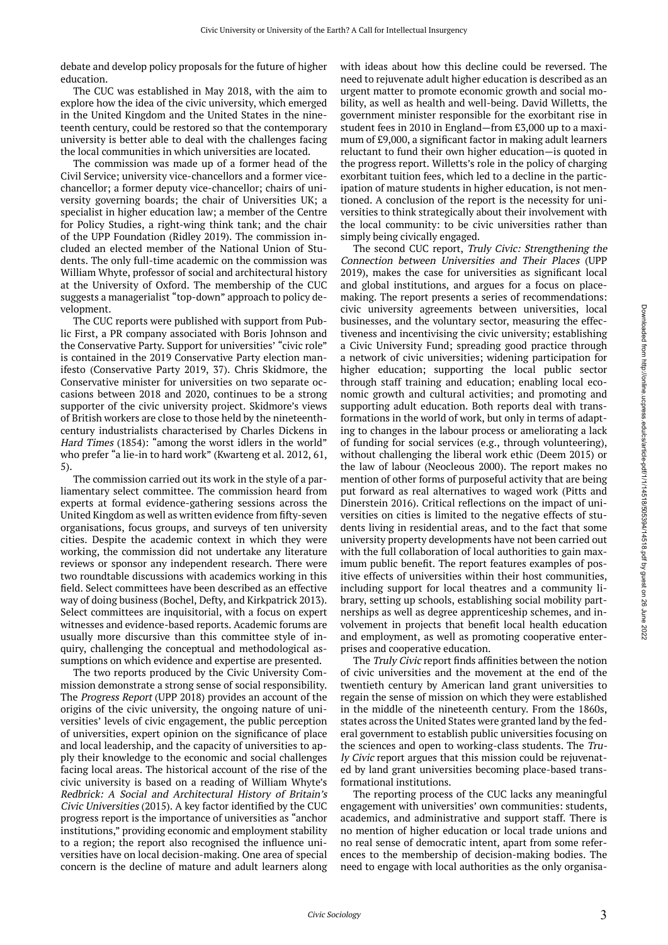debate and develop policy proposals for the future of higher education.

The CUC was established in May 2018, with the aim to explore how the idea of the civic university, which emerged in the United Kingdom and the United States in the nineteenth century, could be restored so that the contemporary university is better able to deal with the challenges facing the local communities in which universities are located.

The commission was made up of a former head of the Civil Service; university vice-chancellors and a former vicechancellor; a former deputy vice-chancellor; chairs of university governing boards; the chair of Universities UK; a specialist in higher education law; a member of the Centre for Policy Studies, a right-wing think tank; and the chair of the UPP Foundation (Ridley 2019). The commission included an elected member of the National Union of Students. The only full-time academic on the commission was William Whyte, professor of social and architectural history at the University of Oxford. The membership of the CUC suggests a managerialist "top-down" approach to policy development.

The CUC reports were published with support from Public First, a PR company associated with Boris Johnson and the Conservative Party. Support for universities' "civic role" is contained in the 2019 Conservative Party election manifesto (Conservative Party 2019, 37). Chris Skidmore, the Conservative minister for universities on two separate occasions between 2018 and 2020, continues to be a strong supporter of the civic university project. Skidmore's views of British workers are close to those held by the nineteenthcentury industrialists characterised by Charles Dickens in Hard Times (1854): "among the worst idlers in the world" who prefer "a lie-in to hard work" (Kwarteng et al. 2012, 61, 5).

The commission carried out its work in the style of a parliamentary select committee. The commission heard from experts at formal evidence-gathering sessions across the United Kingdom as well as written evidence from fifty-seven organisations, focus groups, and surveys of ten university cities. Despite the academic context in which they were working, the commission did not undertake any literature reviews or sponsor any independent research. There were two roundtable discussions with academics working in this field. Select committees have been described as an effective way of doing business (Bochel, Defty, and Kirkpatrick 2013). Select committees are inquisitorial, with a focus on expert witnesses and evidence-based reports. Academic forums are usually more discursive than this committee style of inquiry, challenging the conceptual and methodological assumptions on which evidence and expertise are presented.

The two reports produced by the Civic University Commission demonstrate a strong sense of social responsibility. The Progress Report (UPP 2018) provides an account of the origins of the civic university, the ongoing nature of universities' levels of civic engagement, the public perception of universities, expert opinion on the significance of place and local leadership, and the capacity of universities to apply their knowledge to the economic and social challenges facing local areas. The historical account of the rise of the civic university is based on a reading of William Whyte's Redbrick: A Social and Architectural History of Britain's Civic Universities (2015). A key factor identified by the CUC progress report is the importance of universities as "anchor institutions," providing economic and employment stability to a region; the report also recognised the influence universities have on local decision-making. One area of special concern is the decline of mature and adult learners along with ideas about how this decline could be reversed. The need to rejuvenate adult higher education is described as an urgent matter to promote economic growth and social mobility, as well as health and well-being. David Willetts, the government minister responsible for the exorbitant rise in student fees in 2010 in England—from £3,000 up to a maximum of £9,000, a significant factor in making adult learners reluctant to fund their own higher education—is quoted in the progress report. Willetts's role in the policy of charging exorbitant tuition fees, which led to a decline in the participation of mature students in higher education, is not mentioned. A conclusion of the report is the necessity for universities to think strategically about their involvement with the local community: to be civic universities rather than simply being civically engaged.

The second CUC report, Truly Civic: Strengthening the Connection between Universities and Their Places (UPP 2019), makes the case for universities as significant local and global institutions, and argues for a focus on placemaking. The report presents a series of recommendations: civic university agreements between universities, local businesses, and the voluntary sector, measuring the effectiveness and incentivising the civic university; establishing a Civic University Fund; spreading good practice through a network of civic universities; widening participation for higher education; supporting the local public sector through staff training and education; enabling local economic growth and cultural activities; and promoting and supporting adult education. Both reports deal with transformations in the world of work, but only in terms of adapting to changes in the labour process or ameliorating a lack of funding for social services (e.g., through volunteering), without challenging the liberal work ethic (Deem 2015) or the law of labour (Neocleous 2000). The report makes no mention of other forms of purposeful activity that are being put forward as real alternatives to waged work (Pitts and Dinerstein 2016). Critical reflections on the impact of universities on cities is limited to the negative effects of students living in residential areas, and to the fact that some university property developments have not been carried out with the full collaboration of local authorities to gain maximum public benefit. The report features examples of positive effects of universities within their host communities, including support for local theatres and a community library, setting up schools, establishing social mobility partnerships as well as degree apprenticeship schemes, and involvement in projects that benefit local health education and employment, as well as promoting cooperative enterprises and cooperative education.

The Truly Civic report finds affinities between the notion of civic universities and the movement at the end of the twentieth century by American land grant universities to regain the sense of mission on which they were established in the middle of the nineteenth century. From the 1860s, states across the United States were granted land by the federal government to establish public universities focusing on the sciences and open to working-class students. The Truly Civic report argues that this mission could be rejuvenated by land grant universities becoming place-based transformational institutions.

The reporting process of the CUC lacks any meaningful engagement with universities' own communities: students, academics, and administrative and support staff. There is no mention of higher education or local trade unions and no real sense of democratic intent, apart from some references to the membership of decision-making bodies. The need to engage with local authorities as the only organisa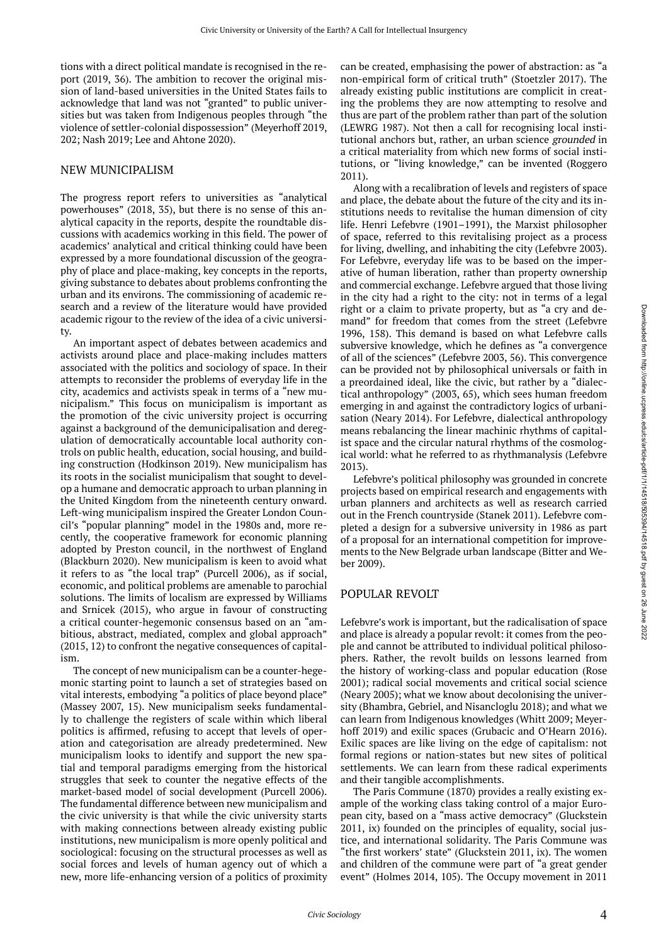tions with a direct political mandate is recognised in the report (2019, 36). The ambition to recover the original mission of land-based universities in the United States fails to acknowledge that land was not "granted" to public universities but was taken from Indigenous peoples through "the violence of settler-colonial dispossession" (Meyerhoff 2019, 202; Nash 2019; Lee and Ahtone 2020).

#### NEW MUNICIPALISM

The progress report refers to universities as "analytical powerhouses" (2018, 35), but there is no sense of this analytical capacity in the reports, despite the roundtable discussions with academics working in this field. The power of academics' analytical and critical thinking could have been expressed by a more foundational discussion of the geography of place and place-making, key concepts in the reports, giving substance to debates about problems confronting the urban and its environs. The commissioning of academic research and a review of the literature would have provided academic rigour to the review of the idea of a civic university.

An important aspect of debates between academics and activists around place and place-making includes matters associated with the politics and sociology of space. In their attempts to reconsider the problems of everyday life in the city, academics and activists speak in terms of a "new municipalism." This focus on municipalism is important as the promotion of the civic university project is occurring against a background of the demunicipalisation and deregulation of democratically accountable local authority controls on public health, education, social housing, and building construction (Hodkinson 2019). New municipalism has its roots in the socialist municipalism that sought to develop a humane and democratic approach to urban planning in the United Kingdom from the nineteenth century onward. Left-wing municipalism inspired the Greater London Council's "popular planning" model in the 1980s and, more recently, the cooperative framework for economic planning adopted by Preston council, in the northwest of England (Blackburn 2020). New municipalism is keen to avoid what it refers to as "the local trap" (Purcell 2006), as if social, economic, and political problems are amenable to parochial solutions. The limits of localism are expressed by Williams and Srnicek (2015), who argue in favour of constructing a critical counter-hegemonic consensus based on an "ambitious, abstract, mediated, complex and global approach" (2015, 12) to confront the negative consequences of capitalism.

The concept of new municipalism can be a counter-hegemonic starting point to launch a set of strategies based on vital interests, embodying "a politics of place beyond place" (Massey 2007, 15). New municipalism seeks fundamentally to challenge the registers of scale within which liberal politics is affirmed, refusing to accept that levels of operation and categorisation are already predetermined. New municipalism looks to identify and support the new spatial and temporal paradigms emerging from the historical struggles that seek to counter the negative effects of the market-based model of social development (Purcell 2006). The fundamental difference between new municipalism and the civic university is that while the civic university starts with making connections between already existing public institutions, new municipalism is more openly political and sociological: focusing on the structural processes as well as social forces and levels of human agency out of which a new, more life-enhancing version of a politics of proximity

can be created, emphasising the power of abstraction: as "a non-empirical form of critical truth" (Stoetzler 2017). The already existing public institutions are complicit in creating the problems they are now attempting to resolve and thus are part of the problem rather than part of the solution (LEWRG 1987). Not then a call for recognising local institutional anchors but, rather, an urban science grounded in a critical materiality from which new forms of social institutions, or "living knowledge," can be invented (Roggero 2011).

Along with a recalibration of levels and registers of space and place, the debate about the future of the city and its institutions needs to revitalise the human dimension of city life. Henri Lefebvre (1901–1991), the Marxist philosopher of space, referred to this revitalising project as a process for living, dwelling, and inhabiting the city (Lefebvre 2003). For Lefebvre, everyday life was to be based on the imperative of human liberation, rather than property ownership and commercial exchange. Lefebvre argued that those living in the city had a right to the city: not in terms of a legal right or a claim to private property, but as "a cry and demand" for freedom that comes from the street (Lefebvre 1996, 158). This demand is based on what Lefebvre calls subversive knowledge, which he defines as "a convergence of all of the sciences" (Lefebvre 2003, 56). This convergence can be provided not by philosophical universals or faith in a preordained ideal, like the civic, but rather by a "dialectical anthropology" (2003, 65), which sees human freedom emerging in and against the contradictory logics of urbanisation (Neary 2014). For Lefebvre, dialectical anthropology means rebalancing the linear machinic rhythms of capitalist space and the circular natural rhythms of the cosmological world: what he referred to as rhythmanalysis (Lefebvre 2013).

Lefebvre's political philosophy was grounded in concrete projects based on empirical research and engagements with urban planners and architects as well as research carried out in the French countryside (Stanek 2011). Lefebvre completed a design for a subversive university in 1986 as part of a proposal for an international competition for improvements to the New Belgrade urban landscape (Bitter and Weber 2009).

#### POPULAR REVOLT

Lefebvre's work is important, but the radicalisation of space and place is already a popular revolt: it comes from the people and cannot be attributed to individual political philosophers. Rather, the revolt builds on lessons learned from the history of working-class and popular education (Rose 2001); radical social movements and critical social science (Neary 2005); what we know about decolonising the university (Bhambra, Gebriel, and Nisancloglu 2018); and what we can learn from Indigenous knowledges (Whitt 2009; Meyerhoff 2019) and exilic spaces (Grubacic and O'Hearn 2016). Exilic spaces are like living on the edge of capitalism: not formal regions or nation-states but new sites of political settlements. We can learn from these radical experiments and their tangible accomplishments.

The Paris Commune (1870) provides a really existing example of the working class taking control of a major European city, based on a "mass active democracy" (Gluckstein 2011, ix) founded on the principles of equality, social justice, and international solidarity. The Paris Commune was "the first workers' state" (Gluckstein 2011, ix). The women and children of the commune were part of "a great gender event" (Holmes 2014, 105). The Occupy movement in 2011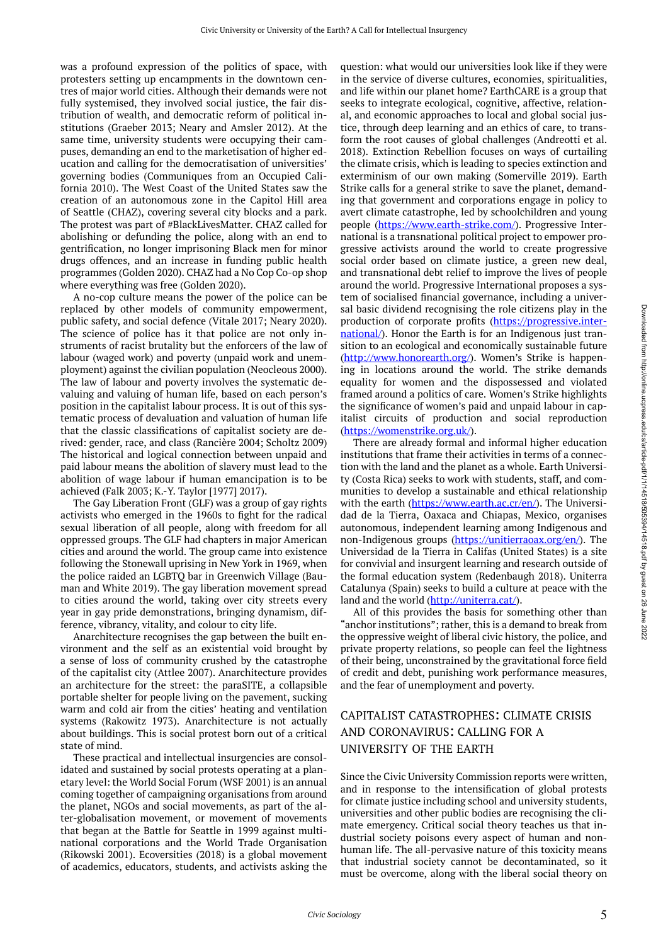was a profound expression of the politics of space, with protesters setting up encampments in the downtown centres of major world cities. Although their demands were not fully systemised, they involved social justice, the fair distribution of wealth, and democratic reform of political institutions (Graeber 2013; Neary and Amsler 2012). At the same time, university students were occupying their campuses, demanding an end to the marketisation of higher education and calling for the democratisation of universities' governing bodies (Communiques from an Occupied California 2010). The West Coast of the United States saw the creation of an autonomous zone in the Capitol Hill area of Seattle (CHAZ), covering several city blocks and a park. The protest was part of #BlackLivesMatter. CHAZ called for abolishing or defunding the police, along with an end to gentrification, no longer imprisoning Black men for minor drugs offences, and an increase in funding public health programmes (Golden 2020). CHAZ had a No Cop Co-op shop where everything was free (Golden 2020).

A no-cop culture means the power of the police can be replaced by other models of community empowerment, public safety, and social defence (Vitale 2017; Neary 2020). The science of police has it that police are not only instruments of racist brutality but the enforcers of the law of labour (waged work) and poverty (unpaid work and unemployment) against the civilian population (Neocleous 2000). The law of labour and poverty involves the systematic devaluing and valuing of human life, based on each person's position in the capitalist labour process. It is out of this systematic process of devaluation and valuation of human life that the classic classifications of capitalist society are derived: gender, race, and class (Rancière 2004; Scholtz 2009) The historical and logical connection between unpaid and paid labour means the abolition of slavery must lead to the abolition of wage labour if human emancipation is to be achieved (Falk 2003; K.-Y. Taylor [1977] 2017).

The Gay Liberation Front (GLF) was a group of gay rights activists who emerged in the 1960s to fight for the radical sexual liberation of all people, along with freedom for all oppressed groups. The GLF had chapters in major American cities and around the world. The group came into existence following the Stonewall uprising in New York in 1969, when the police raided an LGBTQ bar in Greenwich Village (Bauman and White 2019). The gay liberation movement spread to cities around the world, taking over city streets every year in gay pride demonstrations, bringing dynamism, difference, vibrancy, vitality, and colour to city life.

Anarchitecture recognises the gap between the built environment and the self as an existential void brought by a sense of loss of community crushed by the catastrophe of the capitalist city (Attlee 2007). Anarchitecture provides an architecture for the street: the paraSITE, a collapsible portable shelter for people living on the pavement, sucking warm and cold air from the cities' heating and ventilation systems (Rakowitz 1973). Anarchitecture is not actually about buildings. This is social protest born out of a critical state of mind.

These practical and intellectual insurgencies are consolidated and sustained by social protests operating at a planetary level: the World Social Forum (WSF 2001) is an annual coming together of campaigning organisations from around the planet, NGOs and social movements, as part of the alter-globalisation movement, or movement of movements that began at the Battle for Seattle in 1999 against multinational corporations and the World Trade Organisation (Rikowski 2001). Ecoversities (2018) is a global movement of academics, educators, students, and activists asking the

question: what would our universities look like if they were in the service of diverse cultures, economies, spiritualities, and life within our planet home? EarthCARE is a group that seeks to integrate ecological, cognitive, affective, relational, and economic approaches to local and global social justice, through deep learning and an ethics of care, to transform the root causes of global challenges (Andreotti et al. 2018). Extinction Rebellion focuses on ways of curtailing the climate crisis, which is leading to species extinction and exterminism of our own making (Somerville 2019). Earth Strike calls for a general strike to save the planet, demanding that government and corporations engage in policy to avert climate catastrophe, led by schoolchildren and young people [\(https://www.earth-strike.com/](https://www.earth-strike.com/)). Progressive International is a transnational political project to empower progressive activists around the world to create progressive social order based on climate justice, a green new deal, and transnational debt relief to improve the lives of people around the world. Progressive International proposes a system of socialised financial governance, including a universal basic dividend recognising the role citizens play in the production of corporate profits ([https://progressive.inter](https://progressive.international/)[national/](https://progressive.international/)). Honor the Earth is for an Indigenous just transition to an ecological and economically sustainable future (<http://www.honorearth.org/>). Women's Strike is happening in locations around the world. The strike demands equality for women and the dispossessed and violated framed around a politics of care. Women's Strike highlights the significance of women's paid and unpaid labour in capitalist circuits of production and social reproduction (<https://womenstrike.org.uk/>).

There are already formal and informal higher education institutions that frame their activities in terms of a connection with the land and the planet as a whole. Earth University (Costa Rica) seeks to work with students, staff, and communities to develop a sustainable and ethical relationship with the earth (<https://www.earth.ac.cr/en/>). The Universidad de la Tierra, Oaxaca and Chiapas, Mexico, organises autonomous, independent learning among Indigenous and non-Indigenous groups [\(https://unitierraoax.org/en/\)](https://unitierraoax.org/en/). The Universidad de la Tierra in Califas (United States) is a site for convivial and insurgent learning and research outside of the formal education system (Redenbaugh 2018). Uniterra Catalunya (Spain) seeks to build a culture at peace with the land and the world (<http://uniterra.cat/>).

All of this provides the basis for something other than "anchor institutions"; rather, this is a demand to break from the oppressive weight of liberal civic history, the police, and private property relations, so people can feel the lightness of their being, unconstrained by the gravitational force field of credit and debt, punishing work performance measures, and the fear of unemployment and poverty.

## CAPITALIST CATASTROPHES: CLIMATE CRISIS AND CORONAVIRUS: CALLING FOR A UNIVERSITY OF THE EARTH

Since the Civic University Commission reports were written, and in response to the intensification of global protests for climate justice including school and university students, universities and other public bodies are recognising the climate emergency. Critical social theory teaches us that industrial society poisons every aspect of human and nonhuman life. The all-pervasive nature of this toxicity means that industrial society cannot be decontaminated, so it must be overcome, along with the liberal social theory on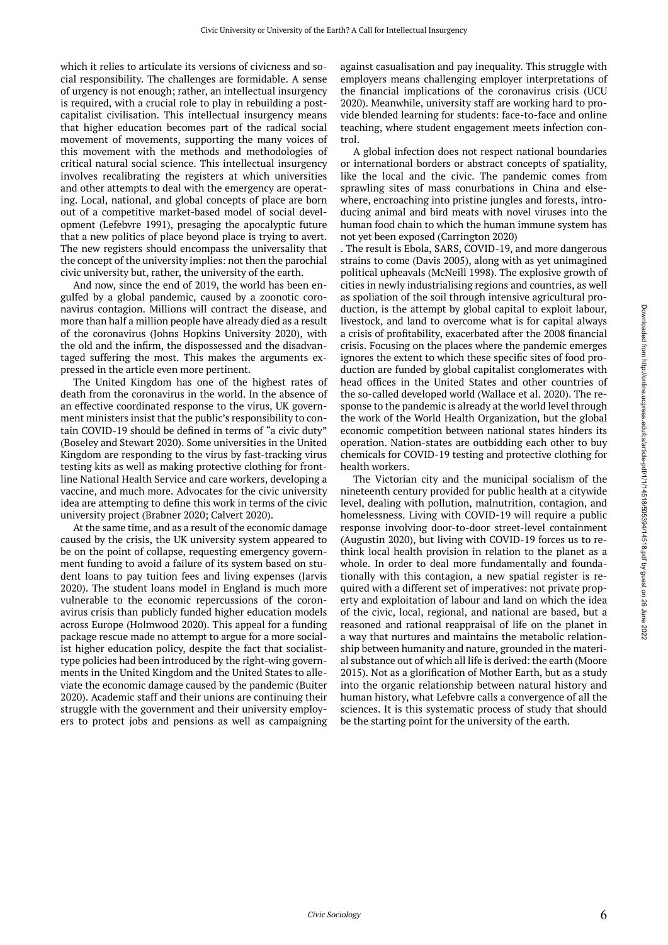which it relies to articulate its versions of civicness and social responsibility. The challenges are formidable. A sense of urgency is not enough; rather, an intellectual insurgency is required, with a crucial role to play in rebuilding a postcapitalist civilisation. This intellectual insurgency means that higher education becomes part of the radical social movement of movements, supporting the many voices of this movement with the methods and methodologies of critical natural social science. This intellectual insurgency involves recalibrating the registers at which universities and other attempts to deal with the emergency are operating. Local, national, and global concepts of place are born out of a competitive market-based model of social development (Lefebvre 1991), presaging the apocalyptic future that a new politics of place beyond place is trying to avert. The new registers should encompass the universality that the concept of the university implies: not then the parochial civic university but, rather, the university of the earth.

And now, since the end of 2019, the world has been engulfed by a global pandemic, caused by a zoonotic coronavirus contagion. Millions will contract the disease, and more than half a million people have already died as a result of the coronavirus (Johns Hopkins University 2020), with the old and the infirm, the dispossessed and the disadvantaged suffering the most. This makes the arguments expressed in the article even more pertinent.

The United Kingdom has one of the highest rates of death from the coronavirus in the world. In the absence of an effective coordinated response to the virus, UK government ministers insist that the public's responsibility to contain COVID-19 should be defined in terms of "a civic duty" (Boseley and Stewart 2020). Some universities in the United Kingdom are responding to the virus by fast-tracking virus testing kits as well as making protective clothing for frontline National Health Service and care workers, developing a vaccine, and much more. Advocates for the civic university idea are attempting to define this work in terms of the civic university project (Brabner 2020; Calvert 2020).

At the same time, and as a result of the economic damage caused by the crisis, the UK university system appeared to be on the point of collapse, requesting emergency government funding to avoid a failure of its system based on student loans to pay tuition fees and living expenses (Jarvis 2020). The student loans model in England is much more vulnerable to the economic repercussions of the coronavirus crisis than publicly funded higher education models across Europe (Holmwood 2020). This appeal for a funding package rescue made no attempt to argue for a more socialist higher education policy, despite the fact that socialisttype policies had been introduced by the right-wing governments in the United Kingdom and the United States to alleviate the economic damage caused by the pandemic (Buiter 2020). Academic staff and their unions are continuing their struggle with the government and their university employers to protect jobs and pensions as well as campaigning

against casualisation and pay inequality. This struggle with employers means challenging employer interpretations of the financial implications of the coronavirus crisis (UCU 2020). Meanwhile, university staff are working hard to provide blended learning for students: face-to-face and online teaching, where student engagement meets infection control.

A global infection does not respect national boundaries or international borders or abstract concepts of spatiality, like the local and the civic. The pandemic comes from sprawling sites of mass conurbations in China and elsewhere, encroaching into pristine jungles and forests, introducing animal and bird meats with novel viruses into the human food chain to which the human immune system has not yet been exposed (Carrington 2020)

. The result is Ebola, SARS, COVID-19, and more dangerous strains to come (Davis 2005), along with as yet unimagined political upheavals (McNeill 1998). The explosive growth of cities in newly industrialising regions and countries, as well as spoliation of the soil through intensive agricultural production, is the attempt by global capital to exploit labour, livestock, and land to overcome what is for capital always a crisis of profitability, exacerbated after the 2008 financial crisis. Focusing on the places where the pandemic emerges ignores the extent to which these specific sites of food production are funded by global capitalist conglomerates with head offices in the United States and other countries of the so-called developed world (Wallace et al. 2020). The response to the pandemic is already at the world level through the work of the World Health Organization, but the global economic competition between national states hinders its operation. Nation-states are outbidding each other to buy chemicals for COVID-19 testing and protective clothing for health workers.

The Victorian city and the municipal socialism of the nineteenth century provided for public health at a citywide level, dealing with pollution, malnutrition, contagion, and homelessness. Living with COVID-19 will require a public response involving door-to-door street-level containment (Augustin 2020), but living with COVID-19 forces us to rethink local health provision in relation to the planet as a whole. In order to deal more fundamentally and foundationally with this contagion, a new spatial register is required with a different set of imperatives: not private property and exploitation of labour and land on which the idea of the civic, local, regional, and national are based, but a reasoned and rational reappraisal of life on the planet in a way that nurtures and maintains the metabolic relationship between humanity and nature, grounded in the material substance out of which all life is derived: the earth (Moore 2015). Not as a glorification of Mother Earth, but as a study into the organic relationship between natural history and human history, what Lefebvre calls a convergence of all the sciences. It is this systematic process of study that should be the starting point for the university of the earth.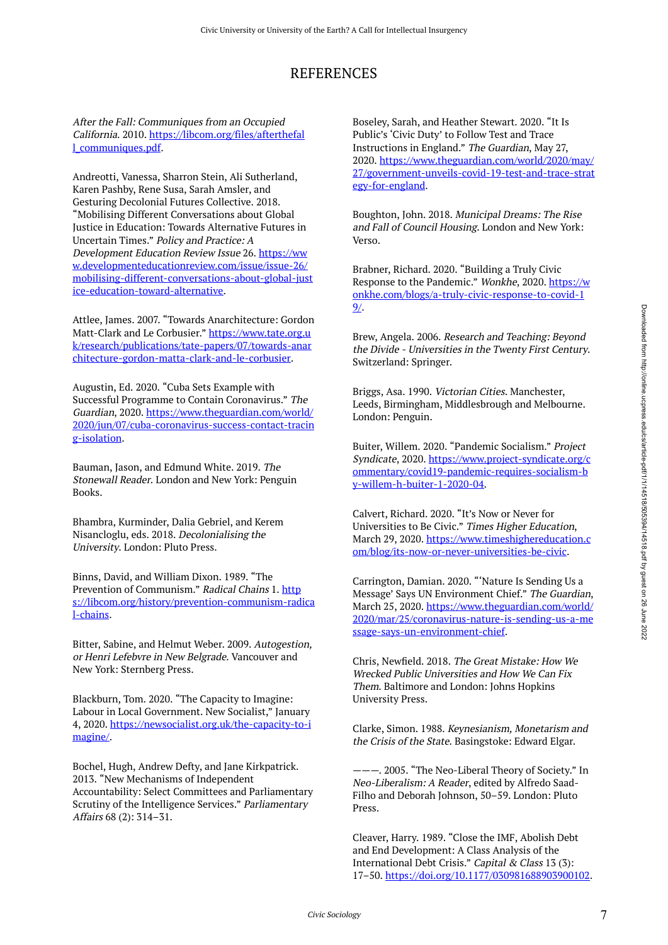## REFERENCES

After the Fall: Communiques from an Occupied California. 2010. [https://libcom.org/files/afterthefal](https://libcom.org/files/afterthefall_communiques.pdf) [l\\_communiques.pdf](https://libcom.org/files/afterthefall_communiques.pdf).

Andreotti, Vanessa, Sharron Stein, Ali Sutherland, Karen Pashby, Rene Susa, Sarah Amsler, and Gesturing Decolonial Futures Collective. 2018. "Mobilising Different Conversations about Global Justice in Education: Towards Alternative Futures in Uncertain Times." Policy and Practice: A Development Education Review Issue 26. [https://ww](https://www.developmenteducationreview.com/issue/issue-26/mobilising-different-conversations-about-global-justice-education-toward-alternative) [w.developmenteducationreview.com/issue/issue-26/](https://www.developmenteducationreview.com/issue/issue-26/mobilising-different-conversations-about-global-justice-education-toward-alternative) [mobilising-different-conversations-about-global-just](https://www.developmenteducationreview.com/issue/issue-26/mobilising-different-conversations-about-global-justice-education-toward-alternative) [ice-education-toward-alternative.](https://www.developmenteducationreview.com/issue/issue-26/mobilising-different-conversations-about-global-justice-education-toward-alternative)

Attlee, James. 2007. "Towards Anarchitecture: Gordon Matt-Clark and Le Corbusier." [https://www.tate.org.u](https://www.tate.org.uk/research/publications/tate-papers/07/towards-anarchitecture-gordon-matta-clark-and-le-corbusier) [k/research/publications/tate-papers/07/towards-anar](https://www.tate.org.uk/research/publications/tate-papers/07/towards-anarchitecture-gordon-matta-clark-and-le-corbusier) [chitecture-gordon-matta-clark-and-le-corbusier](https://www.tate.org.uk/research/publications/tate-papers/07/towards-anarchitecture-gordon-matta-clark-and-le-corbusier).

Augustin, Ed. 2020. "Cuba Sets Example with Successful Programme to Contain Coronavirus." The Guardian, 2020. [https://www.theguardian.com/world/](https://www.theguardian.com/world/2020/jun/07/cuba-coronavirus-success-contact-tracing-isolation) [2020/jun/07/cuba-coronavirus-success-contact-tracin](https://www.theguardian.com/world/2020/jun/07/cuba-coronavirus-success-contact-tracing-isolation) [g-isolation.](https://www.theguardian.com/world/2020/jun/07/cuba-coronavirus-success-contact-tracing-isolation)

Bauman, Jason, and Edmund White. 2019. The Stonewall Reader. London and New York: Penguin Books.

Bhambra, Kurminder, Dalia Gebriel, and Kerem Nisancloglu, eds. 2018. Decolonialising the University. London: Pluto Press.

Binns, David, and William Dixon. 1989. "The Prevention of Communism." Radical Chains 1. [http](https://libcom.org/history/prevention-communism-radical-chains) [s://libcom.org/history/prevention-communism-radica](https://libcom.org/history/prevention-communism-radical-chains) [l-chains](https://libcom.org/history/prevention-communism-radical-chains).

Bitter, Sabine, and Helmut Weber. 2009. Autogestion, or Henri Lefebvre in New Belgrade. Vancouver and New York: Sternberg Press.

Blackburn, Tom. 2020. "The Capacity to Imagine: Labour in Local Government. New Socialist," January 4, 2020. [https://newsocialist.org.uk/the-capacity-to-i](https://newsocialist.org.uk/the-capacity-to-imagine/) [magine/.](https://newsocialist.org.uk/the-capacity-to-imagine/)

Bochel, Hugh, Andrew Defty, and Jane Kirkpatrick. 2013. "New Mechanisms of Independent Accountability: Select Committees and Parliamentary Scrutiny of the Intelligence Services." Parliamentary Affairs 68 (2): 314–31.

Boseley, Sarah, and Heather Stewart. 2020. "It Is Public's 'Civic Duty' to Follow Test and Trace Instructions in England." The Guardian, May 27, 2020. [https://www.theguardian.com/world/2020/may/](https://www.theguardian.com/world/2020/may/27/government-unveils-covid-19-test-and-trace-strategy-for-england) [27/government-unveils-covid-19-test-and-trace-strat](https://www.theguardian.com/world/2020/may/27/government-unveils-covid-19-test-and-trace-strategy-for-england) [egy-for-england](https://www.theguardian.com/world/2020/may/27/government-unveils-covid-19-test-and-trace-strategy-for-england).

Boughton, John. 2018. Municipal Dreams: The Rise and Fall of Council Housing. London and New York: Verso.

Brabner, Richard. 2020. "Building a Truly Civic Response to the Pandemic." Wonkhe, 2020. [https://w](https://wonkhe.com/blogs/a-truly-civic-response-to-covid-19/) [onkhe.com/blogs/a-truly-civic-response-to-covid-1](https://wonkhe.com/blogs/a-truly-civic-response-to-covid-19/) [9/](https://wonkhe.com/blogs/a-truly-civic-response-to-covid-19/).

Brew, Angela. 2006. Research and Teaching: Beyond the Divide - Universities in the Twenty First Century. Switzerland: Springer.

Briggs, Asa. 1990. Victorian Cities. Manchester, Leeds, Birmingham, Middlesbrough and Melbourne. London: Penguin.

Buiter, Willem. 2020. "Pandemic Socialism." Project Syndicate, 2020. [https://www.project-syndicate.org/c](https://www.project-syndicate.org/commentary/covid19-pandemic-requires-socialism-by-willem-h-buiter-1-2020-04) [ommentary/covid19-pandemic-requires-socialism-b](https://www.project-syndicate.org/commentary/covid19-pandemic-requires-socialism-by-willem-h-buiter-1-2020-04) [y-willem-h-buiter-1-2020-04](https://www.project-syndicate.org/commentary/covid19-pandemic-requires-socialism-by-willem-h-buiter-1-2020-04).

Calvert, Richard. 2020. "It's Now or Never for Universities to Be Civic." Times Higher Education, March 29, 2020. [https://www.timeshighereducation.c](https://www.timeshighereducation.com/blog/its-now-or-never-universities-be-civic) [om/blog/its-now-or-never-universities-be-civic](https://www.timeshighereducation.com/blog/its-now-or-never-universities-be-civic).

Carrington, Damian. 2020. "'Nature Is Sending Us a Message' Says UN Environment Chief." The Guardian, March 25, 2020. [https://www.theguardian.com/world/](https://www.theguardian.com/world/2020/mar/25/coronavirus-nature-is-sending-us-a-message-says-un-environment-chief) [2020/mar/25/coronavirus-nature-is-sending-us-a-me](https://www.theguardian.com/world/2020/mar/25/coronavirus-nature-is-sending-us-a-message-says-un-environment-chief) [ssage-says-un-environment-chief](https://www.theguardian.com/world/2020/mar/25/coronavirus-nature-is-sending-us-a-message-says-un-environment-chief).

Chris, Newfield. 2018. The Great Mistake: How We Wrecked Public Universities and How We Can Fix Them. Baltimore and London: Johns Hopkins University Press.

Clarke, Simon. 1988. Keynesianism, Monetarism and the Crisis of the State. Basingstoke: Edward Elgar.

———. 2005. "The Neo-Liberal Theory of Society." In Neo-Liberalism: A Reader, edited by Alfredo Saad-Filho and Deborah Johnson, 50–59. London: Pluto Press.

Cleaver, Harry. 1989. "Close the IMF, Abolish Debt and End Development: A Class Analysis of the International Debt Crisis." Capital & Class 13 (3): 17–50. [https://doi.org/10.1177/030981688903900102.](https://doi.org/10.1177/030981688903900102)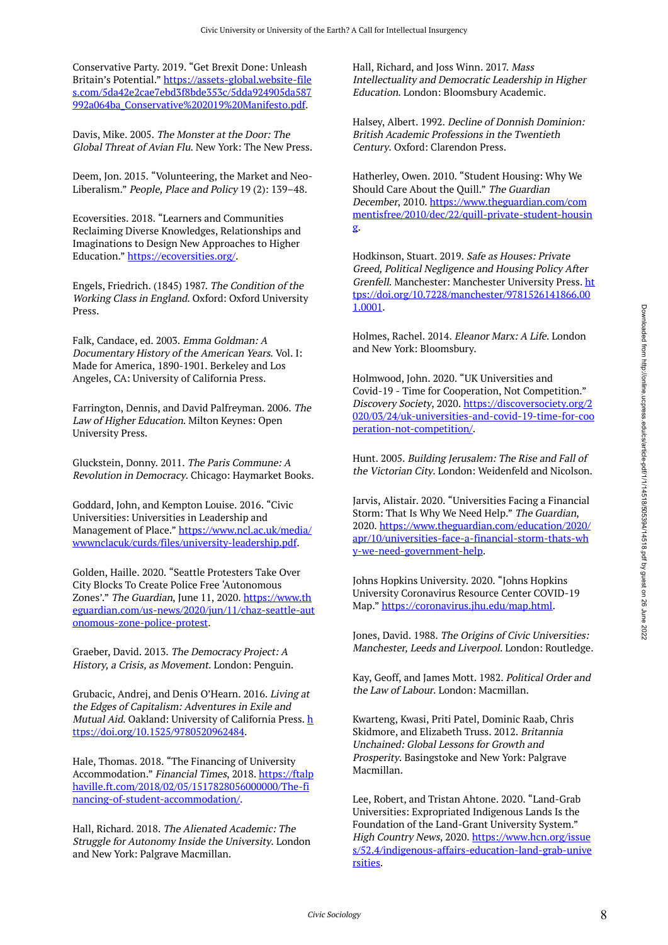Conservative Party. 2019. "Get Brexit Done: Unleash Britain's Potential." [https://assets-global.website-file](https://assets-global.website-files.com/5da42e2cae7ebd3f8bde353c/5dda924905da587992a064ba_Conservative%202019%20Manifesto.pdf) [s.com/5da42e2cae7ebd3f8bde353c/5dda924905da587](https://assets-global.website-files.com/5da42e2cae7ebd3f8bde353c/5dda924905da587992a064ba_Conservative%202019%20Manifesto.pdf) [992a064ba\\_Conservative%202019%20Manifesto.pdf](https://assets-global.website-files.com/5da42e2cae7ebd3f8bde353c/5dda924905da587992a064ba_Conservative%202019%20Manifesto.pdf).

Davis, Mike. 2005. The Monster at the Door: The Global Threat of Avian Flu. New York: The New Press.

Deem, Jon. 2015. "Volunteering, the Market and Neo-Liberalism." People, Place and Policy 19 (2): 139–48.

Ecoversities. 2018. "Learners and Communities Reclaiming Diverse Knowledges, Relationships and Imaginations to Design New Approaches to Higher Education." [https://ecoversities.org/.](https://ecoversities.org/)

Engels, Friedrich. (1845) 1987. The Condition of the Working Class in England. Oxford: Oxford University Press.

Falk, Candace, ed. 2003. Emma Goldman: A Documentary History of the American Years. Vol. I: Made for America, 1890-1901. Berkeley and Los Angeles, CA: University of California Press.

Farrington, Dennis, and David Palfreyman. 2006. The Law of Higher Education. Milton Keynes: Open University Press.

Gluckstein, Donny. 2011. The Paris Commune: A Revolution in Democracy. Chicago: Haymarket Books.

Goddard, John, and Kempton Louise. 2016. "Civic Universities: Universities in Leadership and Management of Place." [https://www.ncl.ac.uk/media/](https://www.ncl.ac.uk/media/wwwnclacuk/curds/files/university-leadership.pdf) [wwwnclacuk/curds/files/university-leadership.pdf.](https://www.ncl.ac.uk/media/wwwnclacuk/curds/files/university-leadership.pdf)

Golden, Haille. 2020. "Seattle Protesters Take Over City Blocks To Create Police Free 'Autonomous Zones'." The Guardian, June 11, 2020. [https://www.th](https://www.theguardian.com/us-news/2020/jun/11/chaz-seattle-autonomous-zone-police-protest) [eguardian.com/us-news/2020/jun/11/chaz-seattle-aut](https://www.theguardian.com/us-news/2020/jun/11/chaz-seattle-autonomous-zone-police-protest) [onomous-zone-police-protest](https://www.theguardian.com/us-news/2020/jun/11/chaz-seattle-autonomous-zone-police-protest).

Graeber, David. 2013. The Democracy Project: A History, a Crisis, as Movement. London: Penguin.

Grubacic, Andrej, and Denis O'Hearn. 2016. Living at the Edges of Capitalism: Adventures in Exile and Mutual Aid. Oakland: University of California Press. [h](https://doi.org/10.1525/9780520962484) [ttps://doi.org/10.1525/9780520962484.](https://doi.org/10.1525/9780520962484)

Hale, Thomas. 2018. "The Financing of University Accommodation." Financial Times, 2018. [https://ftalp](https://ftalphaville.ft.com/2018/02/05/1517828056000000/The-financing-of-student-accommodation/) [haville.ft.com/2018/02/05/1517828056000000/The-fi](https://ftalphaville.ft.com/2018/02/05/1517828056000000/The-financing-of-student-accommodation/) [nancing-of-student-accommodation/.](https://ftalphaville.ft.com/2018/02/05/1517828056000000/The-financing-of-student-accommodation/)

Hall, Richard. 2018. The Alienated Academic: The Struggle for Autonomy Inside the University. London and New York: Palgrave Macmillan.

Hall, Richard, and Joss Winn. 2017. Mass Intellectuality and Democratic Leadership in Higher Education. London: Bloomsbury Academic.

Halsey, Albert. 1992. Decline of Donnish Dominion: British Academic Professions in the Twentieth Century. Oxford: Clarendon Press.

Hatherley, Owen. 2010. "Student Housing: Why We Should Care About the Quill." The Guardian December, 2010. [https://www.theguardian.com/com](https://www.theguardian.com/commentisfree/2010/dec/22/quill-private-student-housing) [mentisfree/2010/dec/22/quill-private-student-housin](https://www.theguardian.com/commentisfree/2010/dec/22/quill-private-student-housing) [g](https://www.theguardian.com/commentisfree/2010/dec/22/quill-private-student-housing).

Hodkinson, Stuart. 2019. Safe as Houses: Private Greed, Political Negligence and Housing Policy After Grenfell. Manchester: Manchester University Press. [ht](https://doi.org/10.7228/manchester/9781526141866.001.0001) [tps://doi.org/10.7228/manchester/9781526141866.00](https://doi.org/10.7228/manchester/9781526141866.001.0001) [1.0001.](https://doi.org/10.7228/manchester/9781526141866.001.0001)

Holmes, Rachel. 2014. Eleanor Marx: A Life. London and New York: Bloomsbury.

Holmwood, John. 2020. "UK Universities and Covid-19 - Time for Cooperation, Not Competition." Discovery Society, 2020. [https://discoversociety.org/2](https://discoversociety.org/2020/03/24/uk-universities-and-covid-19-time-for-cooperation-not-competition/) [020/03/24/uk-universities-and-covid-19-time-for-coo](https://discoversociety.org/2020/03/24/uk-universities-and-covid-19-time-for-cooperation-not-competition/) [peration-not-competition/](https://discoversociety.org/2020/03/24/uk-universities-and-covid-19-time-for-cooperation-not-competition/).

Hunt. 2005. Building Jerusalem: The Rise and Fall of the Victorian City. London: Weidenfeld and Nicolson.

Jarvis, Alistair. 2020. "Universities Facing a Financial Storm: That Is Why We Need Help." The Guardian, 2020. [https://www.theguardian.com/education/2020/](https://www.theguardian.com/education/2020/apr/10/universities-face-a-financial-storm-thats-why-we-need-government-help) [apr/10/universities-face-a-financial-storm-thats-wh](https://www.theguardian.com/education/2020/apr/10/universities-face-a-financial-storm-thats-why-we-need-government-help) [y-we-need-government-help](https://www.theguardian.com/education/2020/apr/10/universities-face-a-financial-storm-thats-why-we-need-government-help).

Johns Hopkins University. 2020. "Johns Hopkins University Coronavirus Resource Center COVID-19 Map." [https://coronavirus.jhu.edu/map.html.](https://coronavirus.jhu.edu/map.html)

Jones, David. 1988. The Origins of Civic Universities: Manchester, Leeds and Liverpool. London: Routledge.

Kay, Geoff, and James Mott. 1982. Political Order and the Law of Labour. London: Macmillan.

Kwarteng, Kwasi, Priti Patel, Dominic Raab, Chris Skidmore, and Elizabeth Truss. 2012. Britannia Unchained: Global Lessons for Growth and Prosperity. Basingstoke and New York: Palgrave Macmillan.

Lee, Robert, and Tristan Ahtone. 2020. "Land-Grab Universities: Expropriated Indigenous Lands Is the Foundation of the Land-Grant University System." High Country News, 2020. [https://www.hcn.org/issue](https://www.hcn.org/issues/52.4/indigenous-affairs-education-land-grab-universities) [s/52.4/indigenous-affairs-education-land-grab-unive](https://www.hcn.org/issues/52.4/indigenous-affairs-education-land-grab-universities) [rsities.](https://www.hcn.org/issues/52.4/indigenous-affairs-education-land-grab-universities)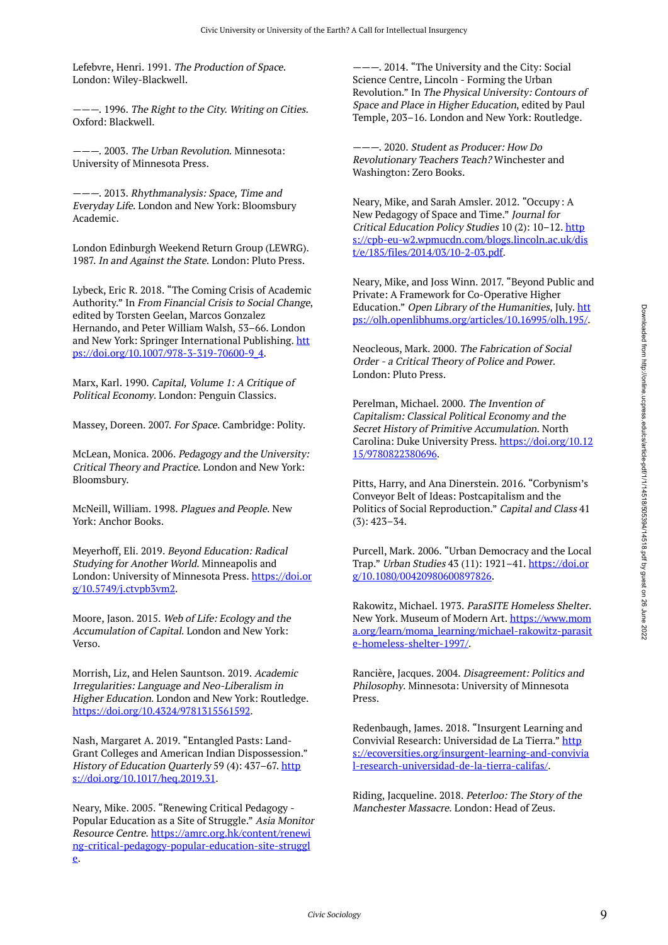Lefebvre, Henri. 1991. The Production of Space. London: Wiley-Blackwell.

———. 1996. The Right to the City. Writing on Cities. Oxford: Blackwell.

———. 2003. The Urban Revolution. Minnesota: University of Minnesota Press.

———. 2013. Rhythmanalysis: Space, Time and Everyday Life. London and New York: Bloomsbury Academic.

London Edinburgh Weekend Return Group (LEWRG). 1987. In and Against the State. London: Pluto Press.

Lybeck, Eric R. 2018. "The Coming Crisis of Academic Authority." In From Financial Crisis to Social Change, edited by Torsten Geelan, Marcos Gonzalez Hernando, and Peter William Walsh, 53–66. London and New York: Springer International Publishing. [htt](https://doi.org/10.1007/978-3-319-70600-9_4) [ps://doi.org/10.1007/978-3-319-70600-9\\_4.](https://doi.org/10.1007/978-3-319-70600-9_4)

Marx, Karl. 1990. Capital, Volume 1: A Critique of Political Economy. London: Penguin Classics.

Massey, Doreen. 2007. For Space. Cambridge: Polity.

McLean, Monica. 2006. Pedagogy and the University: Critical Theory and Practice. London and New York: Bloomsbury.

McNeill, William. 1998. Plagues and People. New York: Anchor Books.

Meyerhoff, Eli. 2019. Beyond Education: Radical Studying for Another World. Minneapolis and London: University of Minnesota Press. [https://doi.or](https://doi.org/10.5749/j.ctvpb3vm2) [g/10.5749/j.ctvpb3vm2](https://doi.org/10.5749/j.ctvpb3vm2).

Moore, Jason. 2015. Web of Life: Ecology and the Accumulation of Capital. London and New York: Verso.

Morrish, Liz, and Helen Sauntson. 2019. Academic Irregularities: Language and Neo-Liberalism in Higher Education. London and New York: Routledge. <https://doi.org/10.4324/9781315561592>.

Nash, Margaret A. 2019. "Entangled Pasts: Land-Grant Colleges and American Indian Dispossession." History of Education Quarterly 59 (4): 437-67. [http](https://doi.org/10.1017/heq.2019.31) [s://doi.org/10.1017/heq.2019.31](https://doi.org/10.1017/heq.2019.31).

Neary, Mike. 2005. "Renewing Critical Pedagogy - Popular Education as a Site of Struggle." Asia Monitor Resource Centre. [https://amrc.org.hk/content/renewi](https://amrc.org.hk/content/renewing-critical-pedagogy-popular-education-site-struggle) [ng-critical-pedagogy-popular-education-site-struggl](https://amrc.org.hk/content/renewing-critical-pedagogy-popular-education-site-struggle) [e](https://amrc.org.hk/content/renewing-critical-pedagogy-popular-education-site-struggle).

———. 2014. "The University and the City: Social Science Centre, Lincoln - Forming the Urban Revolution." In The Physical University: Contours of Space and Place in Higher Education, edited by Paul Temple, 203–16. London and New York: Routledge.

 $-$ . 2020. Student as Producer: How Do Revolutionary Teachers Teach? Winchester and Washington: Zero Books.

Neary, Mike, and Sarah Amsler. 2012. "Occupy: A New Pedagogy of Space and Time." Journal for Critical Education Policy Studies 10 (2): 10–12. [http](https://cpb-eu-w2.wpmucdn.com/blogs.lincoln.ac.uk/dist/e/185/files/2014/03/10-2-03.pdf) [s://cpb-eu-w2.wpmucdn.com/blogs.lincoln.ac.uk/dis](https://cpb-eu-w2.wpmucdn.com/blogs.lincoln.ac.uk/dist/e/185/files/2014/03/10-2-03.pdf) [t/e/185/files/2014/03/10-2-03.pdf](https://cpb-eu-w2.wpmucdn.com/blogs.lincoln.ac.uk/dist/e/185/files/2014/03/10-2-03.pdf).

Neary, Mike, and Joss Winn. 2017. "Beyond Public and Private: A Framework for Co-Operative Higher Education." Open Library of the Humanities, July. [htt](https://olh.openlibhums.org/articles/10.16995/olh.195/) [ps://olh.openlibhums.org/articles/10.16995/olh.195/.](https://olh.openlibhums.org/articles/10.16995/olh.195/)

Neocleous, Mark. 2000. The Fabrication of Social Order - a Critical Theory of Police and Power. London: Pluto Press.

Perelman, Michael. 2000. The Invention of Capitalism: Classical Political Economy and the Secret History of Primitive Accumulation. North Carolina: Duke University Press. [https://doi.org/10.12](https://doi.org/10.1215/9780822380696) [15/9780822380696](https://doi.org/10.1215/9780822380696).

Pitts, Harry, and Ana Dinerstein. 2016. "Corbynism's Conveyor Belt of Ideas: Postcapitalism and the Politics of Social Reproduction." Capital and Class 41 (3): 423–34.

Purcell, Mark. 2006. "Urban Democracy and the Local Trap." Urban Studies 43 (11): 1921–41. [https://doi.or](https://doi.org/10.1080/00420980600897826) [g/10.1080/00420980600897826](https://doi.org/10.1080/00420980600897826).

Rakowitz, Michael. 1973. ParaSITE Homeless Shelter. New York. Museum of Modern Art. [https://www.mom](https://www.moma.org/learn/moma_learning/michael-rakowitz-parasite-homeless-shelter-1997/) [a.org/learn/moma\\_learning/michael-rakowitz-parasit](https://www.moma.org/learn/moma_learning/michael-rakowitz-parasite-homeless-shelter-1997/) [e-homeless-shelter-1997/.](https://www.moma.org/learn/moma_learning/michael-rakowitz-parasite-homeless-shelter-1997/)

Rancière, Jacques. 2004. Disagreement: Politics and Philosophy. Minnesota: University of Minnesota Press.

Redenbaugh, James. 2018. "Insurgent Learning and Convivial Research: Universidad de La Tierra." [http](https://ecoversities.org/insurgent-learning-and-convivial-research-universidad-de-la-tierra-califas/) [s://ecoversities.org/insurgent-learning-and-convivia](https://ecoversities.org/insurgent-learning-and-convivial-research-universidad-de-la-tierra-califas/) [l-research-universidad-de-la-tierra-califas/](https://ecoversities.org/insurgent-learning-and-convivial-research-universidad-de-la-tierra-califas/).

Riding, Jacqueline. 2018. Peterloo: The Story of the Manchester Massacre. London: Head of Zeus.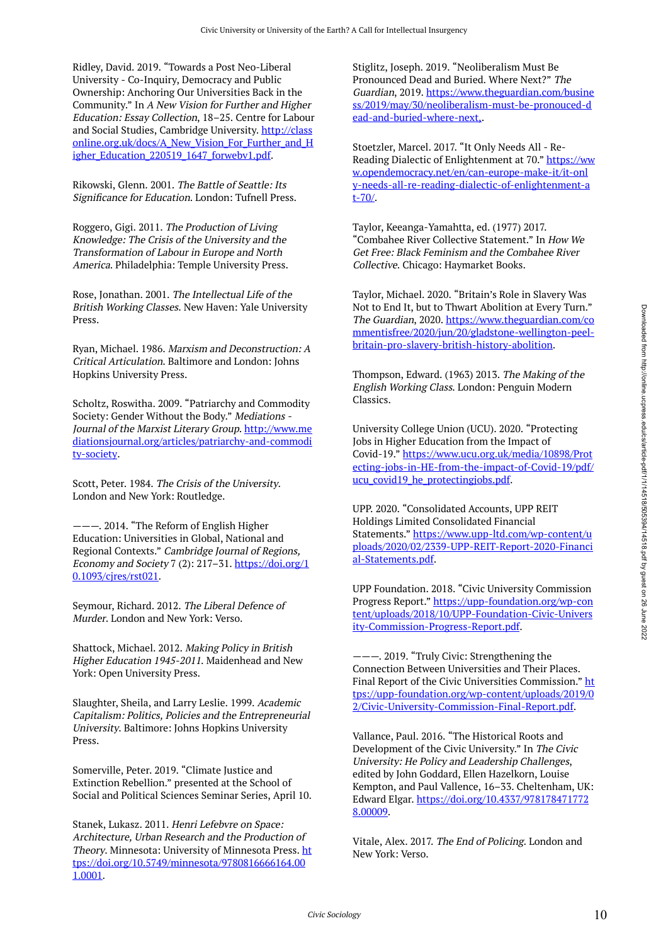Ridley, David. 2019. "Towards a Post Neo-Liberal University - Co-Inquiry, Democracy and Public Ownership: Anchoring Our Universities Back in the Community." In A New Vision for Further and Higher Education: Essay Collection, 18–25. Centre for Labour and Social Studies, Cambridge University. [http://class](http://classonline.org.uk/docs/A_New_Vision_For_Further_and_Higher_Education_220519_1647_forwebv1.pdf) [online.org.uk/docs/A\\_New\\_Vision\\_For\\_Further\\_and\\_H](http://classonline.org.uk/docs/A_New_Vision_For_Further_and_Higher_Education_220519_1647_forwebv1.pdf) [igher\\_Education\\_220519\\_1647\\_forwebv1.pdf](http://classonline.org.uk/docs/A_New_Vision_For_Further_and_Higher_Education_220519_1647_forwebv1.pdf).

Rikowski, Glenn. 2001. The Battle of Seattle: Its Significance for Education. London: Tufnell Press.

Roggero, Gigi. 2011. The Production of Living Knowledge: The Crisis of the University and the Transformation of Labour in Europe and North America. Philadelphia: Temple University Press.

Rose, Jonathan. 2001. The Intellectual Life of the British Working Classes. New Haven: Yale University Press.

Ryan, Michael. 1986. Marxism and Deconstruction: A Critical Articulation. Baltimore and London: Johns Hopkins University Press.

Scholtz, Roswitha. 2009. "Patriarchy and Commodity Society: Gender Without the Body." Mediations - Journal of the Marxist Literary Group. [http://www.me](http://www.mediationsjournal.org/articles/patriarchy-and-commodity-society) [diationsjournal.org/articles/patriarchy-and-commodi](http://www.mediationsjournal.org/articles/patriarchy-and-commodity-society) [ty-society.](http://www.mediationsjournal.org/articles/patriarchy-and-commodity-society)

Scott, Peter. 1984. The Crisis of the University. London and New York: Routledge.

———. 2014. "The Reform of English Higher Education: Universities in Global, National and Regional Contexts." Cambridge Journal of Regions, Economy and Society 7 (2): 217–31. [https://doi.org/1](https://doi.org/10.1093/cjres/rst021) [0.1093/cjres/rst021](https://doi.org/10.1093/cjres/rst021).

Seymour, Richard. 2012. The Liberal Defence of Murder. London and New York: Verso.

Shattock, Michael. 2012. Making Policy in British Higher Education 1945-2011. Maidenhead and New York: Open University Press.

Slaughter, Sheila, and Larry Leslie. 1999. Academic Capitalism: Politics, Policies and the Entrepreneurial University. Baltimore: Johns Hopkins University Press.

Somerville, Peter. 2019. "Climate Justice and Extinction Rebellion." presented at the School of Social and Political Sciences Seminar Series, April 10.

Stanek, Lukasz. 2011. Henri Lefebvre on Space: Architecture, Urban Research and the Production of Theory. Minnesota: University of Minnesota Press. [ht](https://doi.org/10.5749/minnesota/9780816666164.001.0001) [tps://doi.org/10.5749/minnesota/9780816666164.00](https://doi.org/10.5749/minnesota/9780816666164.001.0001) [1.0001](https://doi.org/10.5749/minnesota/9780816666164.001.0001).

Stiglitz, Joseph. 2019. "Neoliberalism Must Be Pronounced Dead and Buried. Where Next?" The Guardian, 2019. [https://www.theguardian.com/busine](https://www.theguardian.com/business/2019/may/30/neoliberalism-must-be-pronouced-dead-and-buried-where-next,) [ss/2019/may/30/neoliberalism-must-be-pronouced-d](https://www.theguardian.com/business/2019/may/30/neoliberalism-must-be-pronouced-dead-and-buried-where-next,) [ead-and-buried-where-next,](https://www.theguardian.com/business/2019/may/30/neoliberalism-must-be-pronouced-dead-and-buried-where-next,).

Stoetzler, Marcel. 2017. "It Only Needs All - Re-Reading Dialectic of Enlightenment at 70." [https://ww](https://www.opendemocracy.net/en/can-europe-make-it/it-only-needs-all-re-reading-dialectic-of-enlightenment-at-70/) [w.opendemocracy.net/en/can-europe-make-it/it-onl](https://www.opendemocracy.net/en/can-europe-make-it/it-only-needs-all-re-reading-dialectic-of-enlightenment-at-70/) [y-needs-all-re-reading-dialectic-of-enlightenment-a](https://www.opendemocracy.net/en/can-europe-make-it/it-only-needs-all-re-reading-dialectic-of-enlightenment-at-70/) [t-70/.](https://www.opendemocracy.net/en/can-europe-make-it/it-only-needs-all-re-reading-dialectic-of-enlightenment-at-70/)

Taylor, Keeanga-Yamahtta, ed. (1977) 2017. "Combahee River Collective Statement." In How We Get Free: Black Feminism and the Combahee River Collective. Chicago: Haymarket Books.

Taylor, Michael. 2020. "Britain's Role in Slavery Was Not to End It, but to Thwart Abolition at Every Turn." The Guardian, 2020. [https://www.theguardian.com/co](https://www.theguardian.com/commentisfree/2020/jun/20/gladstone-wellington-peel-britain-pro-slavery-british-history-abolition) [mmentisfree/2020/jun/20/gladstone-wellington-peel](https://www.theguardian.com/commentisfree/2020/jun/20/gladstone-wellington-peel-britain-pro-slavery-british-history-abolition)[britain-pro-slavery-british-history-abolition.](https://www.theguardian.com/commentisfree/2020/jun/20/gladstone-wellington-peel-britain-pro-slavery-british-history-abolition)

Thompson, Edward. (1963) 2013. The Making of the English Working Class. London: Penguin Modern Classics.

University College Union (UCU). 2020. "Protecting Jobs in Higher Education from the Impact of Covid-19." [https://www.ucu.org.uk/media/10898/Prot](https://www.ucu.org.uk/media/10898/Protecting-jobs-in-HE-from-the-impact-of-Covid-19/pdf/ucu_covid19_he_protectingjobs.pdf) [ecting-jobs-in-HE-from-the-impact-of-Covid-19/pdf/](https://www.ucu.org.uk/media/10898/Protecting-jobs-in-HE-from-the-impact-of-Covid-19/pdf/ucu_covid19_he_protectingjobs.pdf) ucu covid19 he protectingjobs.pdf.

UPP. 2020. "Consolidated Accounts, UPP REIT Holdings Limited Consolidated Financial Statements." [https://www.upp-ltd.com/wp-content/u](https://www.upp-ltd.com/wp-content/uploads/2020/02/2339-UPP-REIT-Report-2020-Financial-Statements.pdf) [ploads/2020/02/2339-UPP-REIT-Report-2020-Financi](https://www.upp-ltd.com/wp-content/uploads/2020/02/2339-UPP-REIT-Report-2020-Financial-Statements.pdf) [al-Statements.pdf.](https://www.upp-ltd.com/wp-content/uploads/2020/02/2339-UPP-REIT-Report-2020-Financial-Statements.pdf)

UPP Foundation. 2018. "Civic University Commission Progress Report." [https://upp-foundation.org/wp-con](https://upp-foundation.org/wp-content/uploads/2018/10/UPP-Foundation-Civic-University-Commission-Progress-Report.pdf) [tent/uploads/2018/10/UPP-Foundation-Civic-Univers](https://upp-foundation.org/wp-content/uploads/2018/10/UPP-Foundation-Civic-University-Commission-Progress-Report.pdf) [ity-Commission-Progress-Report.pdf](https://upp-foundation.org/wp-content/uploads/2018/10/UPP-Foundation-Civic-University-Commission-Progress-Report.pdf).

———. 2019. "Truly Civic: Strengthening the Connection Between Universities and Their Places. Final Report of the Civic Universities Commission." [ht](https://upp-foundation.org/wp-content/uploads/2019/02/Civic-University-Commission-Final-Report.pdf) [tps://upp-foundation.org/wp-content/uploads/2019/0](https://upp-foundation.org/wp-content/uploads/2019/02/Civic-University-Commission-Final-Report.pdf) [2/Civic-University-Commission-Final-Report.pdf](https://upp-foundation.org/wp-content/uploads/2019/02/Civic-University-Commission-Final-Report.pdf).

Vallance, Paul. 2016. "The Historical Roots and Development of the Civic University." In The Civic University: He Policy and Leadership Challenges, edited by John Goddard, Ellen Hazelkorn, Louise Kempton, and Paul Vallence, 16–33. Cheltenham, UK: Edward Elgar. [https://doi.org/10.4337/978178471772](https://doi.org/10.4337/9781784717728.00009) [8.00009.](https://doi.org/10.4337/9781784717728.00009)

Vitale, Alex. 2017. The End of Policing. London and New York: Verso.